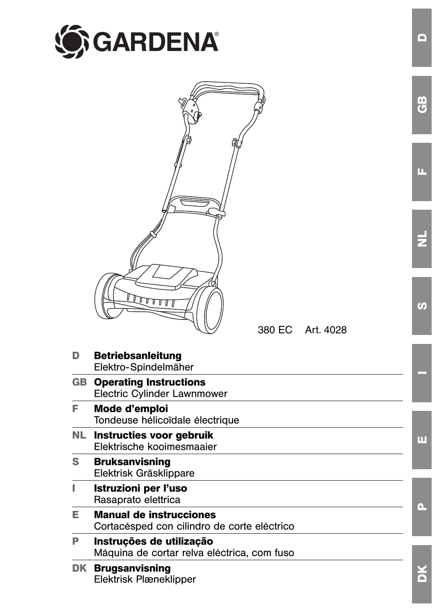



380 EC Art. 4028

| D<br><b>Betriebsanleitung</b><br>Elektro-Spindelmäher<br><b>GB</b> Operating Instructions<br><b>Electric Cylinder Lawnmower</b><br>F.<br>Mode d'emploi<br>Tondeuse hélicoïdale électrique<br>NL Instructies voor gebruik<br>Elektrische kooimesmaaier<br>S.<br><b>Bruksanvisning</b><br>Elektrisk Gräsklippare<br>L<br>Istruzioni per l'uso<br>Rasaprato elettrica<br>Е<br><b>Manual de instrucciones</b><br>Cortacésped con cilindro de corte eléctrico<br>P<br>Instruções de utilização<br>Máquina de cortar relva eléctrica, com fuso |  |       |
|------------------------------------------------------------------------------------------------------------------------------------------------------------------------------------------------------------------------------------------------------------------------------------------------------------------------------------------------------------------------------------------------------------------------------------------------------------------------------------------------------------------------------------------|--|-------|
|                                                                                                                                                                                                                                                                                                                                                                                                                                                                                                                                          |  |       |
|                                                                                                                                                                                                                                                                                                                                                                                                                                                                                                                                          |  |       |
|                                                                                                                                                                                                                                                                                                                                                                                                                                                                                                                                          |  |       |
|                                                                                                                                                                                                                                                                                                                                                                                                                                                                                                                                          |  | ш     |
|                                                                                                                                                                                                                                                                                                                                                                                                                                                                                                                                          |  |       |
|                                                                                                                                                                                                                                                                                                                                                                                                                                                                                                                                          |  | l a 1 |
|                                                                                                                                                                                                                                                                                                                                                                                                                                                                                                                                          |  |       |
|                                                                                                                                                                                                                                                                                                                                                                                                                                                                                                                                          |  |       |
| <b>DK Brugsanvisning</b><br>Elektrisk Plæneklipper                                                                                                                                                                                                                                                                                                                                                                                                                                                                                       |  |       |

**D**

**GB**

**F**

 $\overline{z}$ 

**S**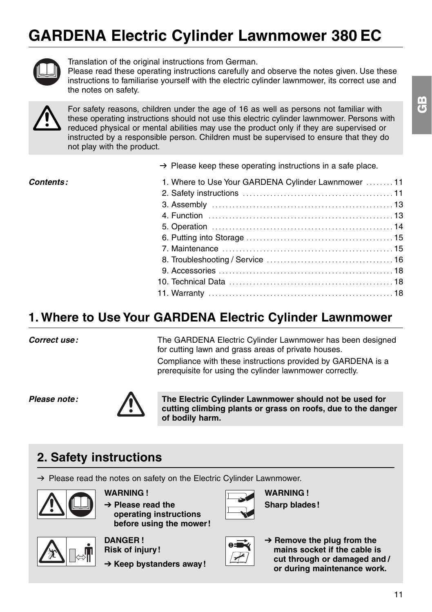

Translation of the original instructions from German.

Please read these operating instructions carefully and observe the notes given. Use these instructions to familiarise yourself with the electric cylinder lawnmower, its correct use and the notes on safety.



For safety reasons, children under the age of 16 as well as persons not familiar with<br>these operating instructions should not use this electric cylinder lawnmower. Persons in<br>reduced physical or mental abilities may use th these operating instructions should not use this electric cylinder lawnmower. Persons with reduced physical or mental abilities may use the product only if they are supervised or instructed by a responsible person. Children must be supervised to ensure that they do not play with the product.

 $\rightarrow$  Please keep these operating instructions in a safe place.

| Contents: | 1. Where to Use Your GARDENA Cylinder Lawnmower 11 |  |
|-----------|----------------------------------------------------|--|
|           |                                                    |  |
|           |                                                    |  |
|           |                                                    |  |
|           |                                                    |  |
|           |                                                    |  |
|           |                                                    |  |
|           |                                                    |  |
|           |                                                    |  |
|           |                                                    |  |
|           |                                                    |  |
|           |                                                    |  |

# **1. Where to Use Your GARDENA Electric Cylinder Lawnmower**

**Correct use:** 

The GARDENA Electric Cylinder Lawnmower has been designed for cutting lawn and grass areas of private houses.

Compliance with these instructions provided by GARDENA is a prerequisite for using the cylinder lawnmower correctly.

**Please note:** 



**The Electric Cylinder Lawnmower should not be used for cutting climbing plants or grass on roofs, due to the danger of bodily harm.** 

# **2. Safety instructions**

 $\rightarrow$  Please read the notes on safety on the Electric Cylinder Lawnmower.



**WARNING !** 

**→ Please read the operating instructions before using the mower!**

**WARNING ! Sharp blades!** 



**DANGER ! Risk of injury!**

**→ Keep bystanders away!** 



 $\rightarrow$  Remove the plug from the **mains socket if the cable is cut through or damaged and / or during maintenance work.**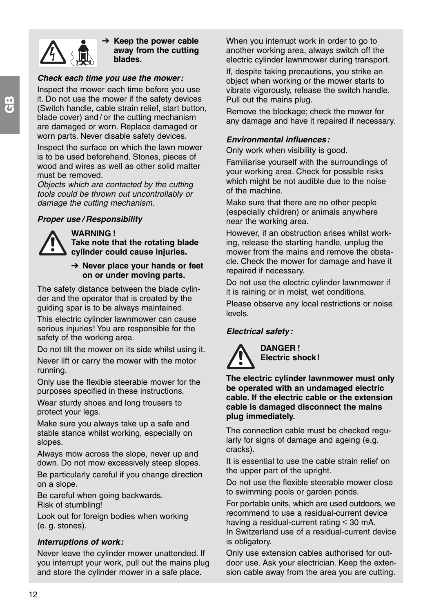

 $\rightarrow$  Keep the power cable **away from the cutting blades.** 

## **Check each time you use the mower:**

Inspect the mower each time before you use it. Do not use the mower if the safety devices (Switch handle, cable strain relief, start button, blade cover) and / or the cutting mechanism are damaged or worn. Replace damaged or worn parts. Never disable safety devices.

Inspect the surface on which the lawn mower is to be used beforehand. Stones, pieces of wood and wires as well as other solid matter must be removed.

Objects which are contacted by the cutting tools could be thrown out uncontrollably or damage the cutting mechanism.

## **Proper use / Responsibility**



# **WARNING !**

**Take note that the rotating blade cylinder could cause injuries.** 

# → Never place your hands or feet **on or under moving parts.**

The safety distance between the blade cylinder and the operator that is created by the guiding spar is to be always maintained.

This electric cylinder lawnmower can cause serious injuries! You are responsible for the safety of the working area.

Do not tilt the mower on its side whilst using it.

Never lift or carry the mower with the motor running.

Only use the flexible steerable mower for the purposes specified in these instructions.

Wear sturdy shoes and long trousers to protect your legs.

Make sure you always take up a safe and stable stance whilst working, especially on slopes.

Always mow across the slope, never up and down. Do not mow excessively steep slopes.

Be particularly careful if you change direction on a slope.

Be careful when going backwards. Risk of stumbling!

Look out for foreign bodies when working (e. g. stones).

## **Interruptions of work:**

Never leave the cylinder mower unattended. If you interrupt your work, pull out the mains plug and store the cylinder mower in a safe place.

When you interrupt work in order to go to another working area, always switch off the electric cylinder lawnmower during transport.

If, despite taking precautions, you strike an object when working or the mower starts to vibrate vigorously, release the switch handle. Pull out the mains plug.

Remove the blockage; check the mower for any damage and have it repaired if necessary.

# **Environmental influences:**

Only work when visibility is good.

Familiarise yourself with the surroundings of your working area. Check for possible risks which might be not audible due to the noise of the machine.

Make sure that there are no other people (especially children) or animals anywhere near the working area.

However, if an obstruction arises whilst working, release the starting handle, unplug the mower from the mains and remove the obstacle. Check the mower for damage and have it repaired if necessary.

Do not use the electric cylinder lawnmower if it is raining or in moist, wet conditions.

Please observe any local restrictions or noise levels.

# **Electrical safety:**



**DANGER ! Electric shock!** 

**The electric cylinder lawnmower must only be operated with an undamaged electric cable. If the electric cable or the extension cable is damaged disconnect the mains plug immediately.** 

The connection cable must be checked regularly for signs of damage and ageing (e.g. cracks).

It is essential to use the cable strain relief on the upper part of the upright.

Do not use the flexible steerable mower close to swimming pools or garden ponds.

For portable units, which are used outdoors, we recommend to use a residual-current device having a residual-current rating ≤ 30 mA. In Switzerland use of a residual-current device is obligatory.

Only use extension cables authorised for outdoor use. Ask your electrician. Keep the extension cable away from the area you are cutting.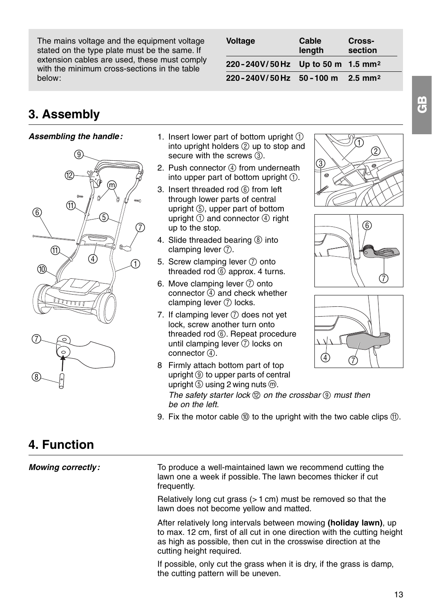The mains voltage and the equipment voltage stated on the type plate must be the same. If extension cables are used, these must comply with the minimum cross-sections in the table below:

| <b>Voltage</b>                               | Cable<br>length | Cross-<br>section |
|----------------------------------------------|-----------------|-------------------|
| 220-240V/50Hz Up to 50 m 1.5 mm <sup>2</sup> |                 |                   |
| 220-240V/50Hz 50-100 m 2.5 mm <sup>2</sup>   |                 |                   |

# **3. Assembly**

# **Assembling the handle:**



- 1. Insert lower part of bottom upright  $(1)$ into upright holders (2) up to stop and secure with the screws  $(3)$ .
- 2. Push connector  $\circled{4}$  from underneath into upper part of bottom upright  $(1)$ .
- 3. Insert threaded rod (6) from left through lower parts of central upright 5, upper part of bottom upright  $(1)$  and connector  $(4)$  right up to the stop.
- 4. Slide threaded bearing (8) into clamping lever  $(7)$ .
- 5. Screw clamping lever  $(7)$  onto threaded rod  $(6)$  approx. 4 turns.
- 6. Move clamping lever  $(7)$  onto connector  $\ddot{q}$  and check whether clamping lever  $\oslash$  locks.
- 7. If clamping lever  $(7)$  does not yet lock, screw another turn onto threaded rod (6). Repeat procedure until clamping lever  $(7)$  locks on connector 4







- 8 Firmly attach bottom part of top upright 9 to upper parts of central  $u$ pright  $\overline{\circ}$  using 2 wing nuts  $\overline{\circ}$ . The safety starter lock  $\mathbb D$  on the crossbar  $\mathbb Q$  must then be on the left.
- 9. Fix the motor cable  $(0)$  to the upright with the two cable clips  $(1)$ .

# **4. Function**

**Mowing correctly:**

To produce a well-maintained lawn we recommend cutting the lawn one a week if possible. The lawn becomes thicker if cut frequently.

Relatively long cut grass (> 1 cm) must be removed so that the lawn does not become yellow and matted.

After relatively long intervals between mowing **(holiday lawn)**, up to max. 12 cm, first of all cut in one direction with the cutting height as high as possible, then cut in the crosswise direction at the cutting height required.

If possible, only cut the grass when it is dry, if the grass is damp, the cutting pattern will be uneven.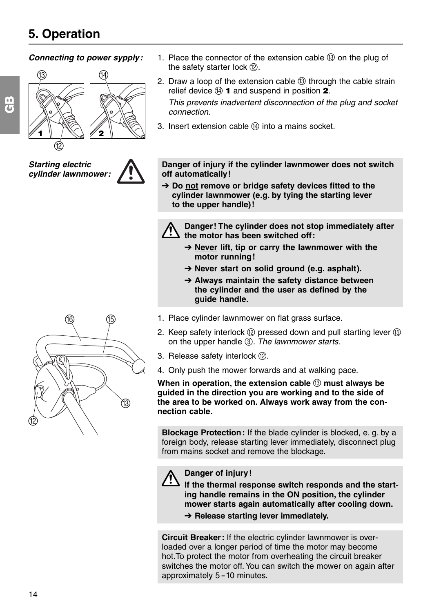# **Connecting to power sypply:**



**Starting electric cylinder lawnmower:**



- 1. Place the connector of the extension cable  $\textcircled{3}$  on the plug of the safety starter lock (2).
- 2. Draw a loop of the extension cable  $(3)$  through the cable strain relief device  $\omega$  1 and suspend in position 2. This prevents inadvertent disconnection of the plug and socket connection.
- 3. Insert extension cable  $\Omega$  into a mains socket.

**Danger of injury if the cylinder lawnmower does not switch off automatically!** 

 $\rightarrow$  Do not remove or bridge safety devices fitted to the **cylinder lawnmower (e.g. by tying the starting lever to the upper handle)!**



**Danger! The cylinder does not stop immediately after the motor has been switched off:** 

- → Never lift, tip or carry the lawnmower with the **motor running!**
- → Never start on solid ground (e.g. asphalt).
- → Always maintain the safety distance between **the cylinder and the user as defined by the guide handle.**
- 1. Place cylinder lawnmower on flat grass surface.
- 2. Keep safety interlock (2) pressed down and pull starting lever (5) on the upper handle 3. The lawnmower starts.
- 3. Release safety interlock (2).
- 4. Only push the mower forwards and at walking pace.

**When in operation, the extension cable**  $(3)$  **must always be guided in the direction you are working and to the side of the area to be worked on. Always work away from the connection cable.**

**Blockage Protection:** If the blade cylinder is blocked, e. g. by a foreign body, release starting lever immediately, disconnect plug from mains socket and remove the blockage.

Danger of injury!<br>If the thermal response switch responds and the start**ing handle remains in the ON position, the cylinder mower starts again automatically after cooling down.** 

**→ Release starting lever immediately.** 

**Circuit Breaker:** If the electric cylinder lawnmower is overloaded over a longer period of time the motor may become hot.To protect the motor from overheating the circuit breaker switches the motor off. You can switch the mower on again after approximately 5-10 minutes.

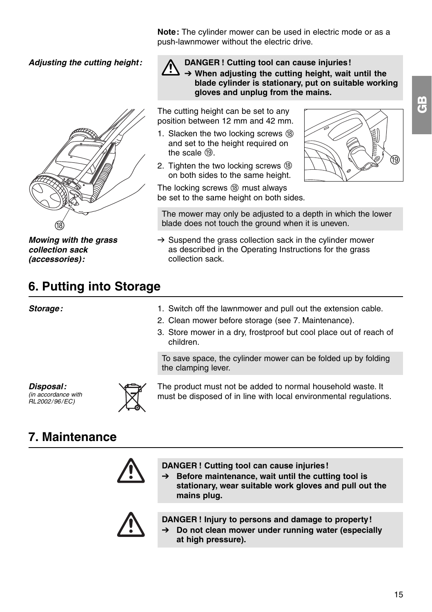**Note:** The cylinder mower can be used in electric mode or as a push-lawnmower without the electric drive.

**Adjusting the cutting height:**



**Mowing with the grass collection sack (accessories):** 

**6. Putting into Storage**

## **Storage:**

**DANGER! Cutting tool can cause injuries!**<br>→ When adiusting the cutting height, wait until the **blade cylinder is stationary, put on suitable working gloves and unplug from the mains.** 

The cutting height can be set to any position between 12 mm and 42 mm.

- 1. Slacken the two locking screws  $\circledR$ and set to the height required on the scale  $(19)$ .
- 2. Tighten the two locking screws  $@$ on both sides to the same height.

The locking screws (8) must always be set to the same height on both sides.

The mower may only be adjusted to a depth in which the lower blade does not touch the ground when it is uneven.

- $\rightarrow$  Suspend the grass collection sack in the cylinder mower as described in the Operating Instructions for the grass collection sack.
- 1. Switch off the lawnmower and pull out the extension cable.
- 2. Clean mower before storage (see 7. Maintenance).
- 3. Store mower in a dry, frostproof but cool place out of reach of children.

To save space, the cylinder mower can be folded up by folding the clamping lever.

**Disposal:**  (in accordance with RL2002/96/EC)



The product must not be added to normal household waste. It must be disposed of in line with local environmental regulations.

# **7. Maintenance**



**DANGER ! Cutting tool can cause injuries!**

 $\rightarrow$  Before maintenance, wait until the cutting tool is **stationary, wear suitable work gloves and pull out the mains plug.**



**DANGER ! Injury to persons and damage to property!** 

→ Do not clean mower under running water (especially **at high pressure).**

 $\circledR$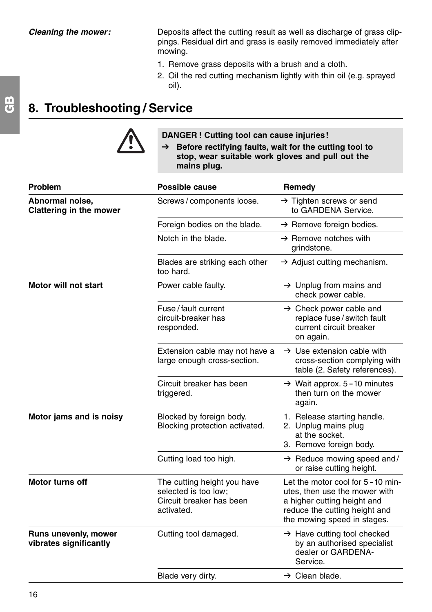Deposits affect the cutting result as well as discharge of grass clippings. Residual dirt and grass is easily removed immediately after mowing.

- 1. Remove grass deposits with a brush and a cloth.
- 2. Oil the red cutting mechanism lightly with thin oil (e.g. sprayed oil).

# **8. Troubleshooting / Service**



**DANGER ! Cutting tool can cause injuries!** 

→ Before rectifying faults, wait for the cutting tool to **stop, wear suitable work gloves and pull out the mains plug.**

| Problem                                        | Possible cause                                                                                | Remedy                                                                                                                                                           |
|------------------------------------------------|-----------------------------------------------------------------------------------------------|------------------------------------------------------------------------------------------------------------------------------------------------------------------|
| Abnormal noise,<br>Clattering in the mower     | Screws / components loose.                                                                    | $\rightarrow$ Tighten screws or send<br>to GARDENA Service.                                                                                                      |
|                                                | Foreign bodies on the blade.                                                                  | $\rightarrow$ Remove foreign bodies.                                                                                                                             |
|                                                | Notch in the blade.                                                                           | $\rightarrow$ Remove notches with<br>grindstone.                                                                                                                 |
|                                                | Blades are striking each other<br>too hard.                                                   | $\rightarrow$ Adjust cutting mechanism.                                                                                                                          |
| Motor will not start                           | Power cable faulty.                                                                           | $\rightarrow$ Unplug from mains and<br>check power cable.                                                                                                        |
|                                                | Fuse / fault current<br>circuit-breaker has<br>responded.                                     | $\rightarrow$ Check power cable and<br>replace fuse/switch fault<br>current circuit breaker<br>on again.                                                         |
|                                                | Extension cable may not have a<br>large enough cross-section.                                 | $\rightarrow$ Use extension cable with<br>cross-section complying with<br>table (2. Safety references).                                                          |
|                                                | Circuit breaker has been<br>triggered.                                                        | $\rightarrow$ Wait approx. 5-10 minutes<br>then turn on the mower<br>again.                                                                                      |
| Motor jams and is noisy                        | Blocked by foreign body.<br>Blocking protection activated.                                    | 1. Release starting handle.<br>2. Unplug mains plug<br>at the socket.<br>3. Remove foreign body.                                                                 |
|                                                | Cutting load too high.                                                                        | $\rightarrow$ Reduce mowing speed and/<br>or raise cutting height.                                                                                               |
| Motor turns off                                | The cutting height you have<br>selected is too low:<br>Circuit breaker has been<br>activated. | Let the motor cool for 5-10 min-<br>utes, then use the mower with<br>a higher cutting height and<br>reduce the cutting height and<br>the mowing speed in stages. |
| Runs unevenly, mower<br>vibrates significantly | Cutting tool damaged.                                                                         | $\rightarrow$ Have cutting tool checked<br>by an authorised specialist<br>dealer or GARDENA-<br>Service.                                                         |
|                                                | Blade very dirty.                                                                             | $\rightarrow$ Clean blade.                                                                                                                                       |
|                                                |                                                                                               |                                                                                                                                                                  |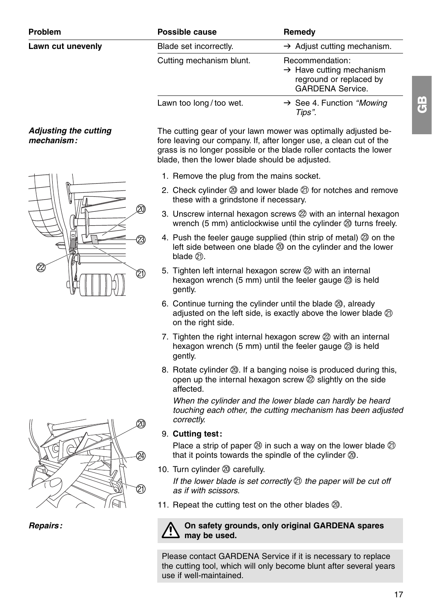## **Lawn cut unevenly**

# **Adjusting the cutting mechanism:**



| Problem           | <b>Possible cause</b>    | Remedy                                                                                                        |
|-------------------|--------------------------|---------------------------------------------------------------------------------------------------------------|
| Lawn cut unevenly | Blade set incorrectly.   | $\rightarrow$ Adjust cutting mechanism.                                                                       |
|                   | Cutting mechanism blunt. | Recommendation:<br>$\rightarrow$ Have cutting mechanism<br>reground or replaced by<br><b>GARDENA Service.</b> |
|                   | Lawn too long/too wet.   | $\rightarrow$ See 4. Function "Mowing"<br>Tips".                                                              |

The cutting gear of your lawn mower was optimally adjusted before leaving our company. If, after longer use, a clean cut of the grass is no longer possible or the blade roller contacts the lower blade, then the lower blade should be adjusted.

- 1. Remove the plug from the mains socket.
- 2. Check cylinder  $\oslash$  and lower blade  $\oslash$  for notches and remove these with a grindstone if necessary.
- 3. Unscrew internal hexagon screws  $(2)$  with an internal hexagon wrench (5 mm) anticlockwise until the cylinder @ turns freely.
- 4. Push the feeler gauge supplied (thin strip of metal) 23 on the left side between one blade  $\oslash$  on the cylinder and the lower blade <sub>(21</sub>)
- 5. Tighten left internal hexagon screw  $(2)$  with an internal hexagon wrench  $(5 \text{ mm})$  until the feeler gauge  $\textcircled{3}$  is held gently.
- 6. Continue turning the cylinder until the blade  $\mathcal{D}_1$ , already adjusted on the left side, is exactly above the lower blade  $(2)$ on the right side.
- 7. Tighten the right internal hexagon screw  $\mathcal{D}$  with an internal hexagon wrench (5 mm) until the feeler gauge  $\oslash$  is held gently.
- 8. Rotate cylinder  $\oslash$ . If a banging noise is produced during this, open up the internal hexagon screw  $(2)$  slightly on the side affected.

When the cylinder and the lower blade can hardly be heard touching each other, the cutting mechanism has been adjusted correctly.

9. **Cutting test:** 

Place a strip of paper  $\circledA$  in such a way on the lower blade  $\circledA$ that it points towards the spindle of the cylinder  $@.$ 

10. Turn cylinder @ carefully.

If the lower blade is set correctly  $\oslash$  the paper will be cut off as if with scissors.

11. Repeat the cutting test on the other blades  $\mathcal{D}$ .

## **On safety grounds, only original GARDENA spares may be used.**

Please contact GARDENA Service if it is necessary to replace the cutting tool, which will only become blunt after several years use if well-maintained.



**Repairs:**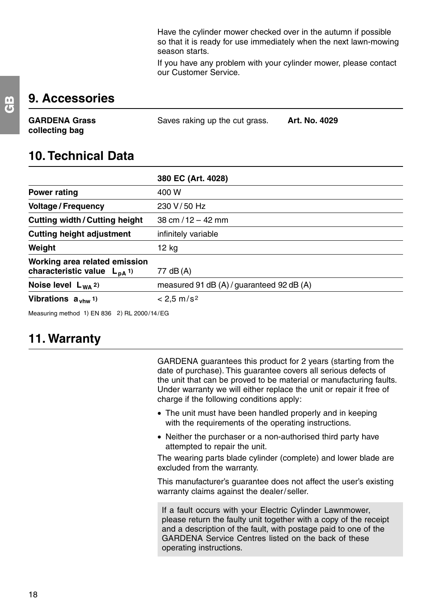Have the cylinder mower checked over in the autumn if possible so that it is ready for use immediately when the next lawn-mowing season starts.

If you have any problem with your cylinder mower, please contact our Customer Service.

# **9. Accessories**

| <b>GARDENA Grass</b> | Saves raking up the cut grass. | Art. No. 4029 |
|----------------------|--------------------------------|---------------|
| collecting bag       |                                |               |

# **10. Technical Data**

|                                                                              | 380 EC (Art. 4028)                        |
|------------------------------------------------------------------------------|-------------------------------------------|
| Power rating                                                                 | 400 W                                     |
| <b>Voltage / Frequency</b>                                                   | 230 V/50 Hz                               |
| <b>Cutting width/Cutting height</b>                                          | $38 \text{ cm} / 12 - 42 \text{ mm}$      |
| <b>Cutting height adjustment</b>                                             | infinitely variable                       |
| Weight                                                                       | 12 kg                                     |
| Working area related emission<br>characteristic value $L_{pA}$ <sup>1)</sup> | 77 dB (A)                                 |
| Noise level $L_{WA}$ 2)                                                      | measured 91 dB (A) / guaranteed 92 dB (A) |
| Vibrations $a_{\text{vhw}}$ 1)                                               | $< 2.5$ m/s <sup>2</sup>                  |
|                                                                              |                                           |

Measuring method 1) EN 836 2) RL 2000/14/EG

# **11. Warranty**

GARDENA guarantees this product for 2 years (starting from the date of purchase). This guarantee covers all serious defects of the unit that can be proved to be material or manufacturing faults. Under warranty we will either replace the unit or repair it free of charge if the following conditions apply:

- The unit must have been handled properly and in keeping with the requirements of the operating instructions.
- Neither the purchaser or a non-authorised third party have attempted to repair the unit.

The wearing parts blade cylinder (complete) and lower blade are excluded from the warranty.

This manufacturer's guarantee does not affect the user's existing warranty claims against the dealer/seller.

If a fault occurs with your Electric Cylinder Lawnmower, please return the faulty unit together with a copy of the receipt and a description of the fault, with postage paid to one of the GARDENA Service Centres listed on the back of these operating instructions.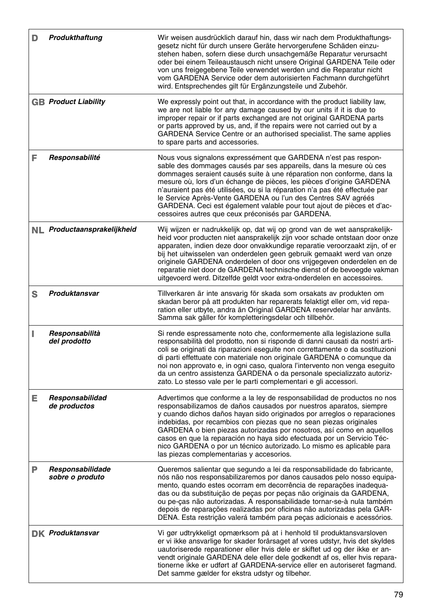|    | Produkthaftung                      | Wir weisen ausdrücklich darauf hin, dass wir nach dem Produkthaftungs-<br>gesetz nicht für durch unsere Geräte hervorgerufene Schäden einzu-<br>stehen haben, sofern diese durch unsachgemäße Reparatur verursacht<br>oder bei einem Teileaustausch nicht unsere Original GARDENA Teile oder<br>von uns freigegebene Teile verwendet werden und die Reparatur nicht<br>vom GARDENA Service oder dem autorisierten Fachmann durchgeführt<br>wird. Entsprechendes gilt für Ergänzungsteile und Zubehör.                                                                |
|----|-------------------------------------|----------------------------------------------------------------------------------------------------------------------------------------------------------------------------------------------------------------------------------------------------------------------------------------------------------------------------------------------------------------------------------------------------------------------------------------------------------------------------------------------------------------------------------------------------------------------|
|    | <b>GB</b> Product Liability         | We expressly point out that, in accordance with the product liability law,<br>we are not liable for any damage caused by our units if it is due to<br>improper repair or if parts exchanged are not original GARDENA parts<br>or parts approved by us, and, if the repairs were not carried out by a<br>GARDENA Service Centre or an authorised specialist. The same applies<br>to spare parts and accessories.                                                                                                                                                      |
| F  | Responsabilité                      | Nous vous signalons expressément que GARDENA n'est pas respon-<br>sable des dommages causés par ses appareils, dans la mesure où ces<br>dommages seraient causés suite à une réparation non conforme, dans la<br>mesure où, lors d'un échange de pièces, les pièces d'origine GARDENA<br>n'auraient pas été utilisées, ou si la réparation n'a pas été effectuée par<br>le Service Après-Vente GARDENA ou l'un des Centres SAV agréés<br>GARDENA. Ceci est également valable pour tout ajout de pièces et d'ac-<br>cessoires autres que ceux préconisés par GARDENA. |
|    | NL Productaansprakelijkheid         | Wij wijzen er nadrukkelijk op, dat wij op grond van de wet aansprakelijk-<br>heid voor producten niet aansprakelijk zijn voor schade ontstaan door onze<br>apparaten, indien deze door onvakkundige reparatie veroorzaakt zijn, of er<br>bij het uitwisselen van onderdelen geen gebruik gemaakt werd van onze<br>originele GARDENA onderdelen of door ons vrijgegeven onderdelen en de<br>reparatie niet door de GARDENA technische dienst of de bevoegde vakman<br>uitgevoerd werd. Ditzelfde geldt voor extra-onderdelen en accessoires.                          |
| S  | Produktansvar                       | Tillverkaren är inte ansvarig för skada som orsakats av produkten om<br>skadan beror på att produkten har reparerats felaktigt eller om, vid repa-<br>ration eller utbyte, andra än Original GARDENA reservdelar har använts.<br>Samma sak gäller för kompletteringsdelar och tillbehör.                                                                                                                                                                                                                                                                             |
| п  | Responsabilità<br>del prodotto      | Si rende espressamente noto che, conformemente alla legislazione sulla<br>responsabilità del prodotto, non si risponde di danni causati da nostri arti-<br>coli se originati da riparazioni eseguite non correttamente o da sostituzioni<br>di parti effettuate con materiale non originale GARDENA o comunque da<br>noi non approvato e, in ogni caso, qualora l'intervento non venga eseguito<br>da un centro assistenza GARDENA o da personale specializzato autoriz-<br>zato. Lo stesso vale per le parti complementari e gli accessori.                         |
| Е. | Responsabilidad<br>de productos     | Advertimos que conforme a la ley de responsabilidad de productos no nos<br>responsabilizamos de daños causados por nuestros aparatos, siempre<br>y cuando dichos daños hayan sido originados por arreglos o reparaciones<br>indebidas, por recambios con piezas que no sean piezas originales<br>GARDENA o bien piezas autorizadas por nosotros, así como en aquellos<br>casos en que la reparación no haya sido efectuada por un Servicio Téc-<br>nico GARDENA o por un técnico autorizado. Lo mismo es aplicable para<br>las piezas complementarias y accesorios.  |
| Р  | Responsabilidade<br>sobre o produto | Queremos salientar que segundo a lei da responsabilidade do fabricante,<br>nós não nos responsabilizaremos por danos causados pelo nosso equipa-<br>mento, quando estes ocorram em decorrência de reparações inadequa-<br>das ou da substituição de peças por peças não originais da GARDENA,<br>ou pe-cas não autorizadas. A responsabilidade tornar-se-à nula também<br>depois de reparações realizadas por oficinas não autorizadas pela GAR-<br>DENA. Esta restrição valerá também para peças adicionais e acessórios.                                           |
|    | <b>DK Produktansvar</b>             | Vi gør udtrykkeligt opmærksom på at i henhold til produktansvarsloven<br>er vi ikke ansvarlige for skader forårsaget af vores udstyr, hvis det skyldes<br>uautoriserede reparationer eller hvis dele er skiftet ud og der ikke er an-<br>vendt originale GARDENA dele eller dele godkendt af os, eller hvis repara-<br>tionerne ikke er udført af GARDENA-service eller en autoriseret fagmand.<br>Det samme gælder for ekstra udstyr og tilbehør.                                                                                                                   |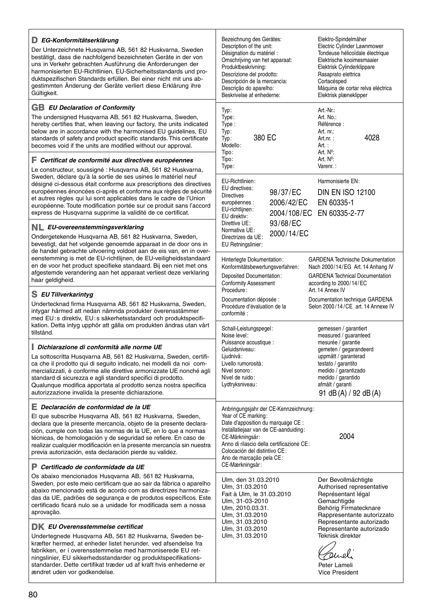### **D EG-Konformitätserklärung**

Der Unterzeichnete Husqvarna AB, 561 82 Huskvarna, Sweden bestätigt, dass die nachfolgend bezeichneten Geräte in der von uns in Verkehr gebrachten Ausführung die Anforderungen der harmonisierten EU-Richtlinien, EU-Sicherheitsstandards und produktspezifischen Standards erfüllen. Bei einer nicht mit uns abgestimmten Änderung der Geräte verliert diese Erklärung ihre geemmme<br>Gültigkeit.

### **GB EU Declaration of Conformity**

The undersigned Husqvarna AB, 561 82 Huskvarna, Sweden, hereby certifies that, when leaving our factory, the units indicated below are in accordance with the harmonised EU guidelines, EU standards of safety and product specific standards. This certificate becomes void if the units are modified without our approval.

### **F Certificat de conformité aux directives européennes**

Le constructeur, soussigné : Husqvarna AB, 561 82 Huskvarna, Sweden, déclare qu'à la sortie de ses usines le matériel neuf désigné ci-dessous était conforme aux prescriptions des directives européennes énoncées ci-après et conforme aux règles de sécurit et autres règles qui lui sont applicables dans le cadre de l'Union européenne. Toute modification portée sur ce produit sans l'accor express de Husqvarna supprime la validité de ce certificat.

### **NL EU-overeenstemmingsverklaring**

Ondergetekende Husqvarna AB, 561 82 Huskvarna, Sweden, bevestigt, dat het volgende genoemde apparaat in de door ons in de handel gebrachte uitvoering voldoet aan de eis van, en in overeenstemming is met de EU-richtlijnen, de EU-veiligheidsstandaar en de voor het product specifieke standaard. Bij een niet met ons afgestemde verandering aan het apparaat verliest deze verklaring haar geldigheid.

## **S EU Tillverkarintyg**

Undertecknad firma Husqvarna AB, 561 82 Huskvarna, Sweden, intygar härmed att nedan nämnda produkter överensstämmer med EU:s direktiv, EU:s säkerhetsstandard och produktspecifikation. Detta intyg upphör att gälla om produkten ändras utan vår tillstånd.

### **I Dichiarazione di conformità alle norme UE**

La sottoscritta Husqvarna AB, 561 82 Huskvarna, Sweden, certifica che il prodotto qui di seguito indicato, nei modelli da noi commercializzati, è conforme alle direttive armonizzate UE nonché ag standard di sicurezza e agli standard specifici di prodotto. Qualunque modifica apportata al prodotto senza nostra specifica autorizzazione invalida la presente dichiarazione.

### **E Declaración de conformidad de la UE**

El que subscribe Husqvarna AB, 561 82 Huskvarna, Sweden, declara que la presente mercancía, objeto de la presente declaración, cumple con todas las normas de la UE, en lo que a normas técnicas, de homologación y de seguridad se refiere. En caso de realizar cualquier modificación en la presente mercancía sin nuestra previa autorización, esta declaración pierde su validez.

### **P Certificado de conformidade da UE**

Os abaixo mencionados Husqvarna AB, 561 82 Huskvarna, Sweden, por este meio certificam que ao sair da fábrica o aparelh abaixo mencionado está de acordo com as directrizes harmonizadas da UE, padrões de segurança e de produtos específicos. Est certificado ficará nulo se a unidade for modificada sem a nossa aprovação.

### **DK EU Overensstemmelse certificat**

Undertegnede Husqvarna AB, 561 82 Huskvarna, Sweden bekræfter hermed, at enheder listet herunder, ved afsendelse fra fabrikken, er i overensstemmelse med harmoniserede EU retningslinier, EU sikkerhedsstandarder og produktspecifikationsstandarder. Dette certifikat træder ud af kraft hvis enhederne er ændret uden vor godkendelse.

|               | Bezeichnung des Gerätes:<br>Description of the unit:<br>Désignation du matériel :<br>Omschrijving van het apparaat:<br>Produktbeskrivning:<br>Descrizione del prodotto:<br>Descripción de la mercancía:<br>Descrição do aparelho:<br>Beskrivelse af enhederne:                              |                        |        | Elektro-Spindelmäher<br>Electric Cylinder Lawnmower<br>Tondeuse hélicoïdale électrique<br>Elektrische kooimesmaaier<br>Elektrisk Cylinderklippare<br>Rasaprato elettrica<br>Cortacésped<br>Máquina de cortar relva eléctrica<br>Elektrisk plæneklipper |      |
|---------------|---------------------------------------------------------------------------------------------------------------------------------------------------------------------------------------------------------------------------------------------------------------------------------------------|------------------------|--------|--------------------------------------------------------------------------------------------------------------------------------------------------------------------------------------------------------------------------------------------------------|------|
|               | Typ:<br>Type:<br>Type:<br>Typ:<br>380 EC<br>Typ:<br>Modello:<br>Tipo:<br>Tipo:                                                                                                                                                                                                              |                        | Art. : | Art.-Nr.:<br>Art. No.:<br>Référence :<br>Art. nr.:<br>Art.nr.:<br>Art. Nº:<br>Art. Nº:                                                                                                                                                                 | 4028 |
| ۱S<br>té<br>d | Type:<br>EU-Richtlinien:<br>EU directives:<br><b>Directives</b><br>européennes :<br>EU-richtlijnen:<br>EU direktiv:                                                                                                                                                                         | 98/37/EC<br>2006/42/EC |        | Varenr.:<br>Harmonisierte EN:<br><b>DIN EN ISO 12100</b><br>EN 60335-1<br>2004/108/EC EN 60335-2-77                                                                                                                                                    |      |
| ſ-            | Direttive UE:<br>Normativa UE:<br>Directrizes da UE:<br>EU Retningslinier:                                                                                                                                                                                                                  | 93/68/EC<br>2000/14/EC |        |                                                                                                                                                                                                                                                        |      |
| d<br>J        | Hinterlegte Dokumentation:<br>Konformitätsbewertungsverfahren:<br><b>Deposited Documentation:</b><br><b>Conformity Assessment</b>                                                                                                                                                           |                        |        | <b>GARDENA Technische Dokumentation</b><br>Nach 2000/14/EG Art. 14 Anhang IV<br><b>GARDENA Technical Documentation</b><br>according to 2000/14/EC                                                                                                      |      |
|               | Procedure:<br>Documentation déposée :<br>Procédure d'évaluation de la<br>conformité :                                                                                                                                                                                                       |                        |        | Art. 14 Annex IV<br>Documentation technique GARDENA<br>Selon 2000/14/CE art. 14 Annexe IV                                                                                                                                                              |      |
| t<br>۱i       | Schall-Leistungspegel:<br>Noise level:<br>Puissance acoustique :<br>Geluidsniveau:<br>Ljudnivå:<br>Livello rumorosità:<br>Nivel sonoro:<br>Nível de ruido:<br>Lydtryksniveau:                                                                                                               |                        |        | gemessen / garantiert<br>measured / guaranteed<br>mesurée / garantie<br>gemeten / gegarandeerd<br>uppmätt / garanterad<br>testato / garantito<br>medido / garantizado<br>medido / garantido<br>afmålt / garanti<br>91 dB (A) / 92 dB (A)               |      |
| í<br>а        | Anbringungsjahr der CE-Kennzeichnung:<br>Year of CE marking:<br>Date d'apposition du marquage CE :<br>Installatiejaar van de CE-aanduiding:<br>CE-Märkningsår:<br>Anno di rilascio della certificazione CE:<br>Colocación del distintivo CE:<br>Ano de marcação pela CE:<br>CE-Mærkningsår: |                        |        | 2004                                                                                                                                                                                                                                                   |      |
| о<br>ŀ<br>е   | Ulm, den 31.03.2010<br>Ulm, 31.03.2010<br>Fait à Ulm, le 31.03.2010<br>Ulm, 31-03-2010<br>Ulm, 2010.03.31.<br>Ulm, 31.03.2010<br>Ulm, 31.03.2010<br>Ulm, 31.03.2010<br>Ulm, 31.03.2010                                                                                                      |                        |        | Der Bevollmächtigte<br>Authorised representative<br>Représentant légal<br>Gemachtigde<br>Behörig Firmatecknare<br>Rappresentante autorizzato<br>Representante autorizado<br>Representante autorizado<br>Teknisk direktør                               |      |
|               |                                                                                                                                                                                                                                                                                             |                        |        | Juel<br>Peter Lameli<br>Vice President                                                                                                                                                                                                                 |      |